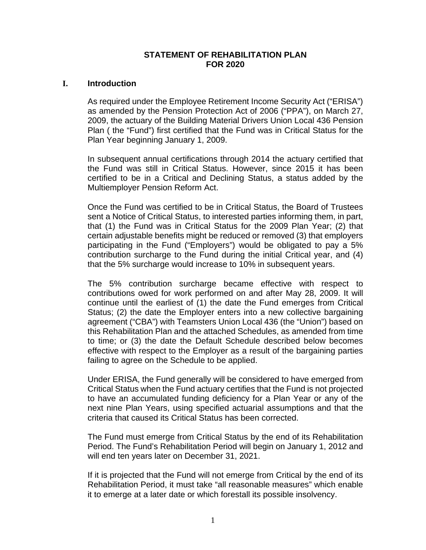# **STATEMENT OF REHABILITATION PLAN FOR 2020**

# **I. Introduction**

As required under the Employee Retirement Income Security Act ("ERISA") as amended by the Pension Protection Act of 2006 ("PPA"), on March 27, 2009, the actuary of the Building Material Drivers Union Local 436 Pension Plan ( the "Fund") first certified that the Fund was in Critical Status for the Plan Year beginning January 1, 2009.

In subsequent annual certifications through 2014 the actuary certified that the Fund was still in Critical Status. However, since 2015 it has been certified to be in a Critical and Declining Status, a status added by the Multiemployer Pension Reform Act.

Once the Fund was certified to be in Critical Status, the Board of Trustees sent a Notice of Critical Status, to interested parties informing them, in part, that (1) the Fund was in Critical Status for the 2009 Plan Year; (2) that certain adjustable benefits might be reduced or removed (3) that employers participating in the Fund ("Employers") would be obligated to pay a 5% contribution surcharge to the Fund during the initial Critical year, and (4) that the 5% surcharge would increase to 10% in subsequent years.

The 5% contribution surcharge became effective with respect to contributions owed for work performed on and after May 28, 2009. It will continue until the earliest of (1) the date the Fund emerges from Critical Status; (2) the date the Employer enters into a new collective bargaining agreement ("CBA") with Teamsters Union Local 436 (the "Union") based on this Rehabilitation Plan and the attached Schedules, as amended from time to time; or (3) the date the Default Schedule described below becomes effective with respect to the Employer as a result of the bargaining parties failing to agree on the Schedule to be applied.

Under ERISA, the Fund generally will be considered to have emerged from Critical Status when the Fund actuary certifies that the Fund is not projected to have an accumulated funding deficiency for a Plan Year or any of the next nine Plan Years, using specified actuarial assumptions and that the criteria that caused its Critical Status has been corrected.

The Fund must emerge from Critical Status by the end of its Rehabilitation Period. The Fund's Rehabilitation Period will begin on January 1, 2012 and will end ten years later on December 31, 2021.

If it is projected that the Fund will not emerge from Critical by the end of its Rehabilitation Period, it must take "all reasonable measures" which enable it to emerge at a later date or which forestall its possible insolvency.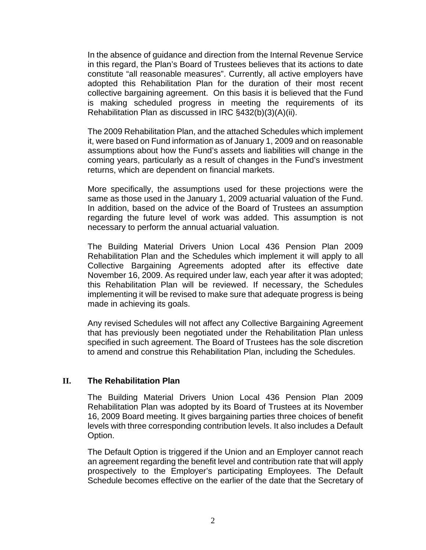In the absence of guidance and direction from the Internal Revenue Service in this regard, the Plan's Board of Trustees believes that its actions to date constitute "all reasonable measures". Currently, all active employers have adopted this Rehabilitation Plan for the duration of their most recent collective bargaining agreement. On this basis it is believed that the Fund is making scheduled progress in meeting the requirements of its Rehabilitation Plan as discussed in IRC §432(b)(3)(A)(ii).

The 2009 Rehabilitation Plan, and the attached Schedules which implement it, were based on Fund information as of January 1, 2009 and on reasonable assumptions about how the Fund's assets and liabilities will change in the coming years, particularly as a result of changes in the Fund's investment returns, which are dependent on financial markets.

More specifically, the assumptions used for these projections were the same as those used in the January 1, 2009 actuarial valuation of the Fund. In addition, based on the advice of the Board of Trustees an assumption regarding the future level of work was added. This assumption is not necessary to perform the annual actuarial valuation.

The Building Material Drivers Union Local 436 Pension Plan 2009 Rehabilitation Plan and the Schedules which implement it will apply to all Collective Bargaining Agreements adopted after its effective date November 16, 2009. As required under law, each year after it was adopted; this Rehabilitation Plan will be reviewed. If necessary, the Schedules implementing it will be revised to make sure that adequate progress is being made in achieving its goals.

Any revised Schedules will not affect any Collective Bargaining Agreement that has previously been negotiated under the Rehabilitation Plan unless specified in such agreement. The Board of Trustees has the sole discretion to amend and construe this Rehabilitation Plan, including the Schedules.

# **II. The Rehabilitation Plan**

The Building Material Drivers Union Local 436 Pension Plan 2009 Rehabilitation Plan was adopted by its Board of Trustees at its November 16, 2009 Board meeting. It gives bargaining parties three choices of benefit levels with three corresponding contribution levels. It also includes a Default Option.

The Default Option is triggered if the Union and an Employer cannot reach an agreement regarding the benefit level and contribution rate that will apply prospectively to the Employer's participating Employees. The Default Schedule becomes effective on the earlier of the date that the Secretary of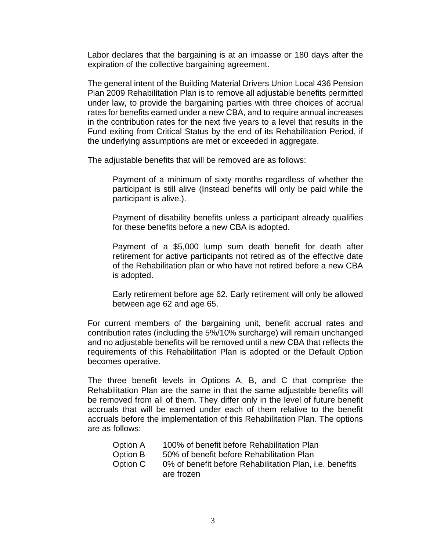Labor declares that the bargaining is at an impasse or 180 days after the expiration of the collective bargaining agreement.

The general intent of the Building Material Drivers Union Local 436 Pension Plan 2009 Rehabilitation Plan is to remove all adjustable benefits permitted under law, to provide the bargaining parties with three choices of accrual rates for benefits earned under a new CBA, and to require annual increases in the contribution rates for the next five years to a level that results in the Fund exiting from Critical Status by the end of its Rehabilitation Period, if the underlying assumptions are met or exceeded in aggregate.

The adjustable benefits that will be removed are as follows:

Payment of a minimum of sixty months regardless of whether the participant is still alive (Instead benefits will only be paid while the participant is alive.).

Payment of disability benefits unless a participant already qualifies for these benefits before a new CBA is adopted.

Payment of a \$5,000 lump sum death benefit for death after retirement for active participants not retired as of the effective date of the Rehabilitation plan or who have not retired before a new CBA is adopted.

Early retirement before age 62. Early retirement will only be allowed between age 62 and age 65.

For current members of the bargaining unit, benefit accrual rates and contribution rates (including the 5%/10% surcharge) will remain unchanged and no adjustable benefits will be removed until a new CBA that reflects the requirements of this Rehabilitation Plan is adopted or the Default Option becomes operative.

The three benefit levels in Options A, B, and C that comprise the Rehabilitation Plan are the same in that the same adjustable benefits will be removed from all of them. They differ only in the level of future benefit accruals that will be earned under each of them relative to the benefit accruals before the implementation of this Rehabilitation Plan. The options are as follows:

| <b>Option A</b> | 100% of benefit before Rehabilitation Plan          |
|-----------------|-----------------------------------------------------|
| <b>Option B</b> | 50% of benefit before Rehabilitation Plan           |
| Option C        | 0% of benefit before Rehabilitation Plan, i.e. bene |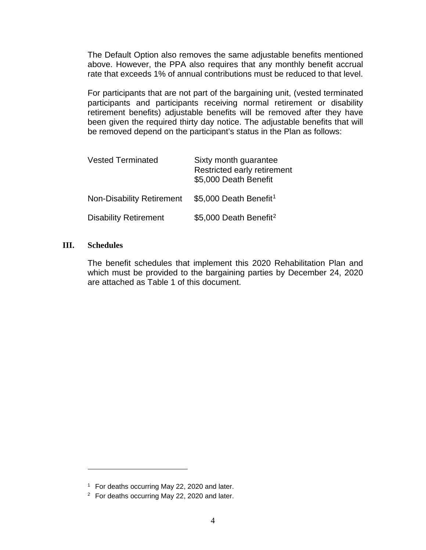The Default Option also removes the same adjustable benefits mentioned above. However, the PPA also requires that any monthly benefit accrual rate that exceeds 1% of annual contributions must be reduced to that level.

For participants that are not part of the bargaining unit, (vested terminated participants and participants receiving normal retirement or disability retirement benefits) adjustable benefits will be removed after they have been given the required thirty day notice. The adjustable benefits that will be removed depend on the participant's status in the Plan as follows:

| <b>Vested Terminated</b>         | Sixty month guarantee<br>Restricted early retirement<br>\$5,000 Death Benefit |  |  |  |  |  |
|----------------------------------|-------------------------------------------------------------------------------|--|--|--|--|--|
| <b>Non-Disability Retirement</b> | \$5,000 Death Benefit <sup>1</sup>                                            |  |  |  |  |  |
| <b>Disability Retirement</b>     | \$5,000 Death Benefit <sup>2</sup>                                            |  |  |  |  |  |

#### **III. Schedules**

 $\overline{a}$ 

The benefit schedules that implement this 2020 Rehabilitation Plan and which must be provided to the bargaining parties by December 24, 2020 are attached as Table 1 of this document.

<sup>&</sup>lt;sup>1</sup> For deaths occurring May 22, 2020 and later.

<span id="page-3-1"></span><span id="page-3-0"></span><sup>2</sup> For deaths occurring May 22, 2020 and later.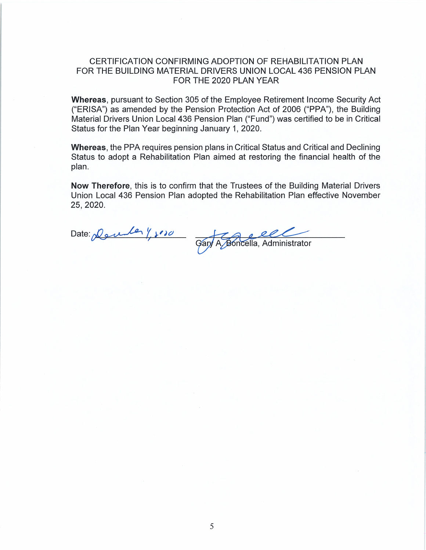# CERTIFICATION CONFIRMING ADOPTION OF REHABILITATION PLAN FOR THE BUILDING MATERIAL DRIVERS UNION LOCAL 436 PENSION PLAN FOR THE 2020 PLAN YEAR

Whereas, pursuant to Section 305 of the Employee Retirement Income Security Act ("ERISA") as amended by the Pension Protection Act of 2006 ("PPA"), the Building Material Drivers Union Local 436 Pension Plan ("Fund") was certified to be in Critical Status for the Plan Year beginning January 1, 2020.

**Whereas, the PPA requires pension plans in Critical Status and Critical and Declining** Status to adopt a Rehabilitation Plan aimed at restoring the financial health of the plan.

Now Therefore, this is to confirm that the Trustees of the Building Material Drivers Union Local 436 Pension Plan adopted the Rehabilitation Plan effective November 25, 2020.

Date: Derne 1, 100 A Boncella, Administrator Gary